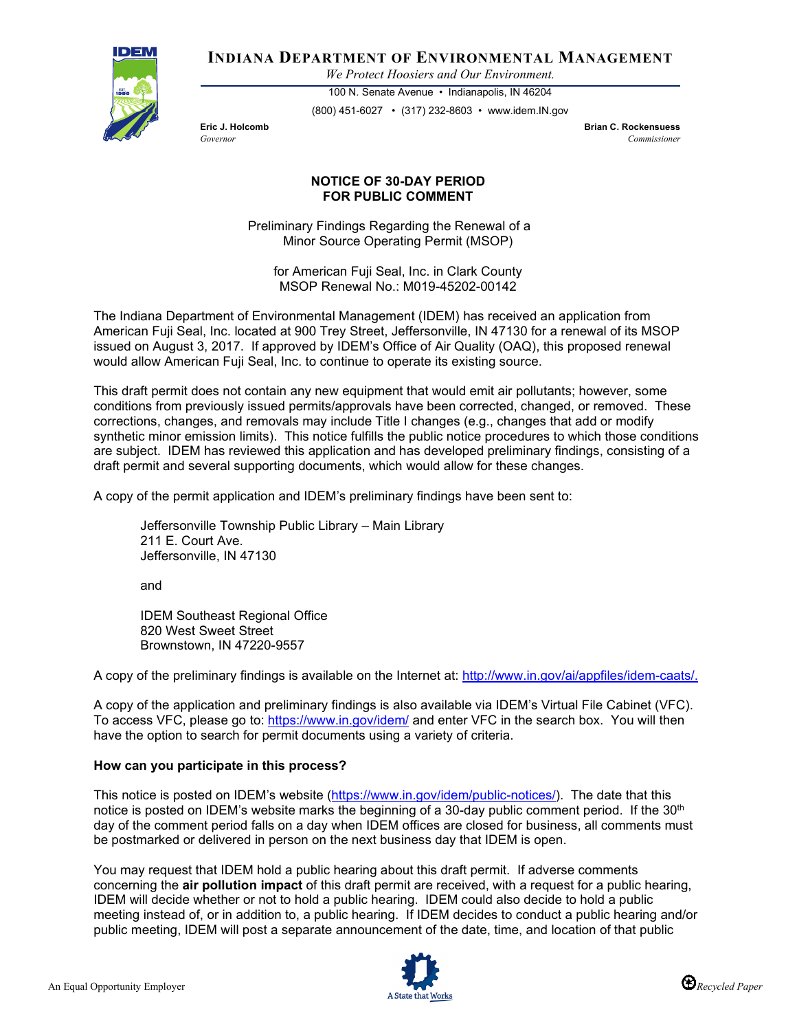

**INDIANA DEPARTMENT OF ENVIRONMENTAL MANAGEMENT**

*We Protect Hoosiers and Our Environment.*

100 N. Senate Avenue • Indianapolis, IN 46204 (800) 451-6027 • (317) 232-8603 • www.idem.IN.gov

**Eric J. Holcomb Brian C. Rockensuess** *Governor Commissioner* 

## **NOTICE OF 30-DAY PERIOD FOR PUBLIC COMMENT**

Preliminary Findings Regarding the Renewal of a Minor Source Operating Permit (MSOP)

for American Fuji Seal, Inc. in Clark County MSOP Renewal No.: M019-45202-00142

The Indiana Department of Environmental Management (IDEM) has received an application from American Fuji Seal, Inc. located at 900 Trey Street, Jeffersonville, IN 47130 for a renewal of its MSOP issued on August 3, 2017. If approved by IDEM's Office of Air Quality (OAQ), this proposed renewal would allow American Fuji Seal, Inc. to continue to operate its existing source.

This draft permit does not contain any new equipment that would emit air pollutants; however, some conditions from previously issued permits/approvals have been corrected, changed, or removed. These corrections, changes, and removals may include Title I changes (e.g., changes that add or modify synthetic minor emission limits). This notice fulfills the public notice procedures to which those conditions are subject. IDEM has reviewed this application and has developed preliminary findings, consisting of a draft permit and several supporting documents, which would allow for these changes.

A copy of the permit application and IDEM's preliminary findings have been sent to:

Jeffersonville Township Public Library – Main Library 211 E. Court Ave. Jeffersonville, IN 47130

and

IDEM Southeast Regional Office 820 West Sweet Street Brownstown, IN 47220-9557

A copy of the preliminary findings is available on the Internet at: [http://www.in.gov/ai/appfiles/idem-caats/.](http://www.in.gov/ai/appfiles/idem-caats/)

A copy of the application and preliminary findings is also available via IDEM's Virtual File Cabinet (VFC). To access VFC, please go to:<https://www.in.gov/idem/> and enter VFC in the search box. You will then have the option to search for permit documents using a variety of criteria.

## **How can you participate in this process?**

This notice is posted on IDEM's website [\(https://www.in.gov/idem/public-notices/\)](https://www.in.gov/idem/public-notices/). The date that this notice is posted on IDEM's website marks the beginning of a 30-day public comment period. If the 30<sup>th</sup> day of the comment period falls on a day when IDEM offices are closed for business, all comments must be postmarked or delivered in person on the next business day that IDEM is open.

You may request that IDEM hold a public hearing about this draft permit. If adverse comments concerning the **air pollution impact** of this draft permit are received, with a request for a public hearing, IDEM will decide whether or not to hold a public hearing. IDEM could also decide to hold a public meeting instead of, or in addition to, a public hearing. If IDEM decides to conduct a public hearing and/or public meeting, IDEM will post a separate announcement of the date, time, and location of that public